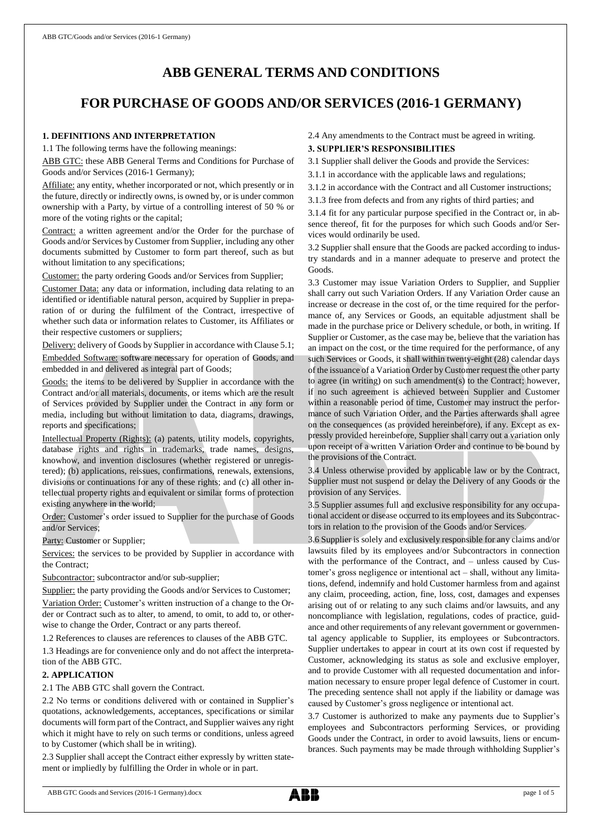# **ABB GENERAL TERMS AND CONDITIONS**

# **FOR PURCHASE OF GOODS AND/OR SERVICES (2016-1 GERMANY)**

# **1. DEFINITIONS AND INTERPRETATION**

1.1 The following terms have the following meanings:

ABB GTC: these ABB General Terms and Conditions for Purchase of Goods and/or Services (2016-1 Germany);

Affiliate: any entity, whether incorporated or not, which presently or in the future, directly or indirectly owns, is owned by, or is under common ownership with a Party, by virtue of a controlling interest of 50 % or more of the voting rights or the capital;

Contract: a written agreement and/or the Order for the purchase of Goods and/or Services by Customer from Supplier, including any other documents submitted by Customer to form part thereof, such as but without limitation to any specifications;

Customer: the party ordering Goods and/or Services from Supplier;

Customer Data: any data or information, including data relating to an identified or identifiable natural person, acquired by Supplier in preparation of or during the fulfilment of the Contract, irrespective of whether such data or information relates to Customer, its Affiliates or their respective customers or suppliers;

Delivery: delivery of Goods by Supplier in accordance with Clause 5.1; Embedded Software: software necessary for operation of Goods, and embedded in and delivered as integral part of Goods;

Goods: the items to be delivered by Supplier in accordance with the Contract and/or all materials, documents, or items which are the result of Services provided by Supplier under the Contract in any form or media, including but without limitation to data, diagrams, drawings, reports and specifications;

Intellectual Property (Rights): (a) patents, utility models, copyrights, database rights and rights in trademarks, trade names, designs, knowhow, and invention disclosures (whether registered or unregistered); (b) applications, reissues, confirmations, renewals, extensions, divisions or continuations for any of these rights; and (c) all other intellectual property rights and equivalent or similar forms of protection existing anywhere in the world;

Order: Customer's order issued to Supplier for the purchase of Goods and/or Services;

Party: Customer or Supplier;

Services: the services to be provided by Supplier in accordance with the Contract;

Subcontractor: subcontractor and/or sub-supplier;

Supplier: the party providing the Goods and/or Services to Customer; Variation Order: Customer's written instruction of a change to the Order or Contract such as to alter, to amend, to omit, to add to, or otherwise to change the Order, Contract or any parts thereof.

1.2 References to clauses are references to clauses of the ABB GTC.

1.3 Headings are for convenience only and do not affect the interpretation of the ABB GTC.

## **2. APPLICATION**

2.1 The ABB GTC shall govern the Contract.

2.2 No terms or conditions delivered with or contained in Supplier's quotations, acknowledgements, acceptances, specifications or similar documents will form part of the Contract, and Supplier waives any right which it might have to rely on such terms or conditions, unless agreed to by Customer (which shall be in writing).

2.3 Supplier shall accept the Contract either expressly by written statement or impliedly by fulfilling the Order in whole or in part.

# 2.4 Any amendments to the Contract must be agreed in writing.

## **3. SUPPLIER'S RESPONSIBILITIES**

- 3.1 Supplier shall deliver the Goods and provide the Services:
- 3.1.1 in accordance with the applicable laws and regulations;
- 3.1.2 in accordance with the Contract and all Customer instructions;
- 3.1.3 free from defects and from any rights of third parties; and

3.1.4 fit for any particular purpose specified in the Contract or, in absence thereof, fit for the purposes for which such Goods and/or Services would ordinarily be used.

3.2 Supplier shall ensure that the Goods are packed according to industry standards and in a manner adequate to preserve and protect the Goods.

3.3 Customer may issue Variation Orders to Supplier, and Supplier shall carry out such Variation Orders. If any Variation Order cause an increase or decrease in the cost of, or the time required for the performance of, any Services or Goods, an equitable adjustment shall be made in the purchase price or Delivery schedule, or both, in writing. If Supplier or Customer, as the case may be, believe that the variation has an impact on the cost, or the time required for the performance, of any such Services or Goods, it shall within twenty-eight (28) calendar days of the issuance of a Variation Order by Customer request the other party to agree (in writing) on such amendment(s) to the Contract; however, if no such agreement is achieved between Supplier and Customer within a reasonable period of time, Customer may instruct the performance of such Variation Order, and the Parties afterwards shall agree on the consequences (as provided hereinbefore), if any. Except as expressly provided hereinbefore, Supplier shall carry out a variation only upon receipt of a written Variation Order and continue to be bound by the provisions of the Contract.

3.4 Unless otherwise provided by applicable law or by the Contract, Supplier must not suspend or delay the Delivery of any Goods or the provision of any Services.

3.5 Supplier assumes full and exclusive responsibility for any occupational accident or disease occurred to its employees and its Subcontractors in relation to the provision of the Goods and/or Services.

3.6 Supplier is solely and exclusively responsible for any claims and/or lawsuits filed by its employees and/or Subcontractors in connection with the performance of the Contract, and – unless caused by Customer's gross negligence or intentional act – shall, without any limitations, defend, indemnify and hold Customer harmless from and against any claim, proceeding, action, fine, loss, cost, damages and expenses arising out of or relating to any such claims and/or lawsuits, and any noncompliance with legislation, regulations, codes of practice, guidance and other requirements of any relevant government or governmental agency applicable to Supplier, its employees or Subcontractors. Supplier undertakes to appear in court at its own cost if requested by Customer, acknowledging its status as sole and exclusive employer, and to provide Customer with all requested documentation and information necessary to ensure proper legal defence of Customer in court. The preceding sentence shall not apply if the liability or damage was caused by Customer's gross negligence or intentional act.

3.7 Customer is authorized to make any payments due to Supplier's employees and Subcontractors performing Services, or providing Goods under the Contract, in order to avoid lawsuits, liens or encumbrances. Such payments may be made through withholding Supplier's

ABB GTC Goods and Services (2016-1 Germany).docx page 1 of 5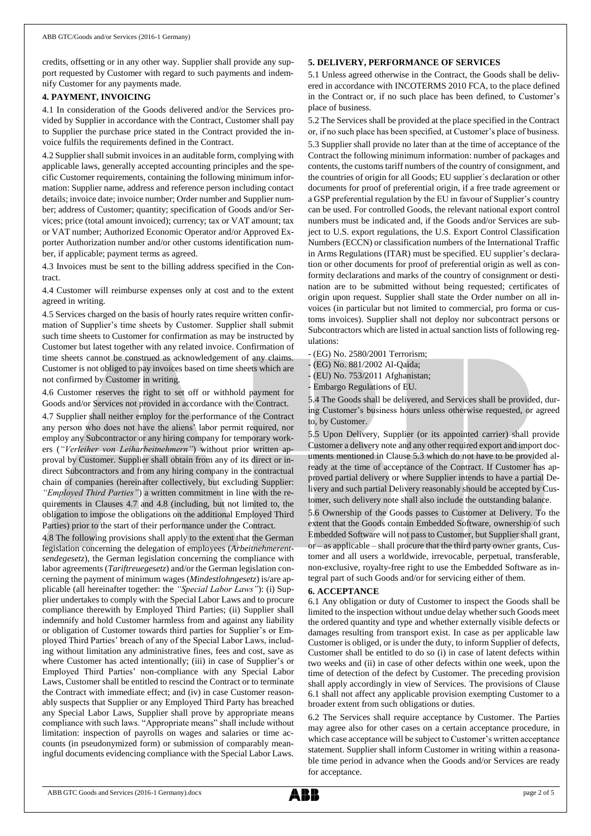credits, offsetting or in any other way. Supplier shall provide any support requested by Customer with regard to such payments and indemnify Customer for any payments made.

## **4. PAYMENT, INVOICING**

4.1 In consideration of the Goods delivered and/or the Services provided by Supplier in accordance with the Contract, Customer shall pay to Supplier the purchase price stated in the Contract provided the invoice fulfils the requirements defined in the Contract.

4.2 Supplier shall submit invoices in an auditable form, complying with applicable laws, generally accepted accounting principles and the specific Customer requirements, containing the following minimum information: Supplier name, address and reference person including contact details; invoice date; invoice number; Order number and Supplier number; address of Customer; quantity; specification of Goods and/or Services; price (total amount invoiced); currency; tax or VAT amount; tax or VAT number; Authorized Economic Operator and/or Approved Exporter Authorization number and/or other customs identification number, if applicable; payment terms as agreed.

4.3 Invoices must be sent to the billing address specified in the Contract.

4.4 Customer will reimburse expenses only at cost and to the extent agreed in writing.

4.5 Services charged on the basis of hourly rates require written confirmation of Supplier's time sheets by Customer. Supplier shall submit such time sheets to Customer for confirmation as may be instructed by Customer but latest together with any related invoice. Confirmation of time sheets cannot be construed as acknowledgement of any claims. Customer is not obliged to pay invoices based on time sheets which are not confirmed by Customer in writing.

4.6 Customer reserves the right to set off or withhold payment for Goods and/or Services not provided in accordance with the Contract.

4.7 Supplier shall neither employ for the performance of the Contract any person who does not have the aliens' labor permit required, nor employ any Subcontractor or any hiring company for temporary workers (*"Verleiher von Leiharbeitnehmern"*) without prior written approval by Customer. Supplier shall obtain from any of its direct or indirect Subcontractors and from any hiring company in the contractual chain of companies (hereinafter collectively, but excluding Supplier:

*"Employed Third Parties"*) a written commitment in line with the requirements in Clauses 4.7 and 4.8 (including, but not limited to, the obligation to impose the obligations on the additional Employed Third Parties) prior to the start of their performance under the Contract.

4.8 The following provisions shall apply to the extent that the German legislation concerning the delegation of employees (*Arbeitnehmerentsendegesetz*), the German legislation concerning the compliance with labor agreements (*Tariftreuegesetz*) and/or the German legislation concerning the payment of minimum wages (*Mindestlohngesetz*) is/are applicable (all hereinafter together: the *"Special Labor Laws"*): (i) Supplier undertakes to comply with the Special Labor Laws and to procure compliance therewith by Employed Third Parties; (ii) Supplier shall indemnify and hold Customer harmless from and against any liability or obligation of Customer towards third parties for Supplier's or Employed Third Parties' breach of any of the Special Labor Laws, including without limitation any administrative fines, fees and cost, save as where Customer has acted intentionally; (iii) in case of Supplier's or Employed Third Parties' non-compliance with any Special Labor Laws, Customer shall be entitled to rescind the Contract or to terminate the Contract with immediate effect; and (iv) in case Customer reasonably suspects that Supplier or any Employed Third Party has breached any Special Labor Laws, Supplier shall prove by appropriate means compliance with such laws. "Appropriate means" shall include without limitation: inspection of payrolls on wages and salaries or time accounts (in pseudonymized form) or submission of comparably meaningful documents evidencing compliance with the Special Labor Laws.

#### **5. DELIVERY, PERFORMANCE OF SERVICES**

5.1 Unless agreed otherwise in the Contract, the Goods shall be delivered in accordance with INCOTERMS 2010 FCA, to the place defined in the Contract or, if no such place has been defined, to Customer's place of business.

5.2 The Services shall be provided at the place specified in the Contract or, if no such place has been specified, at Customer's place of business. 5.3 Supplier shall provide no later than at the time of acceptance of the Contract the following minimum information: number of packages and contents, the customs tariff numbers of the country of consignment, and the countries of origin for all Goods; EU supplier´s declaration or other documents for proof of preferential origin, if a free trade agreement or a GSP preferential regulation by the EU in favour of Supplier's country can be used. For controlled Goods, the relevant national export control numbers must be indicated and, if the Goods and/or Services are subject to U.S. export regulations, the U.S. Export Control Classification Numbers (ECCN) or classification numbers of the International Traffic in Arms Regulations (ITAR) must be specified. EU supplier's declaration or other documents for proof of preferential origin as well as conformity declarations and marks of the country of consignment or destination are to be submitted without being requested; certificates of origin upon request. Supplier shall state the Order number on all invoices (in particular but not limited to commercial, pro forma or customs invoices). Supplier shall not deploy nor subcontract persons or Subcontractors which are listed in actual sanction lists of following regulations:

- (EG) No. 2580/2001 Terrorism;

- (EG) No. 881/2002 Al-Qaida;

(EU) No. 753/2011 Afghanistan;

- Embargo Regulations of EU.

5.4 The Goods shall be delivered, and Services shall be provided, during Customer's business hours unless otherwise requested, or agreed to, by Customer.

5.5 Upon Delivery, Supplier (or its appointed carrier) shall provide Customer a delivery note and any other required export and import documents mentioned in Clause 5.3 which do not have to be provided already at the time of acceptance of the Contract. If Customer has approved partial delivery or where Supplier intends to have a partial Delivery and such partial Delivery reasonably should be accepted by Customer, such delivery note shall also include the outstanding balance.

5.6 Ownership of the Goods passes to Customer at Delivery. To the extent that the Goods contain Embedded Software, ownership of such Embedded Software will not passto Customer, but Supplier shall grant, or – as applicable – shall procure that the third party owner grants, Customer and all users a worldwide, irrevocable, perpetual, transferable, non-exclusive, royalty-free right to use the Embedded Software as integral part of such Goods and/or for servicing either of them.

#### **6. ACCEPTANCE**

6.1 Any obligation or duty of Customer to inspect the Goods shall be limited to the inspection without undue delay whether such Goods meet the ordered quantity and type and whether externally visible defects or damages resulting from transport exist. In case as per applicable law Customer is obliged, or is under the duty, to inform Supplier of defects, Customer shall be entitled to do so (i) in case of latent defects within two weeks and (ii) in case of other defects within one week, upon the time of detection of the defect by Customer. The preceding provision shall apply accordingly in view of Services. The provisions of Clause 6.1 shall not affect any applicable provision exempting Customer to a broader extent from such obligations or duties.

6.2 The Services shall require acceptance by Customer. The Parties may agree also for other cases on a certain acceptance procedure, in which case acceptance will be subject to Customer's written acceptance statement. Supplier shall inform Customer in writing within a reasonable time period in advance when the Goods and/or Services are ready for acceptance.

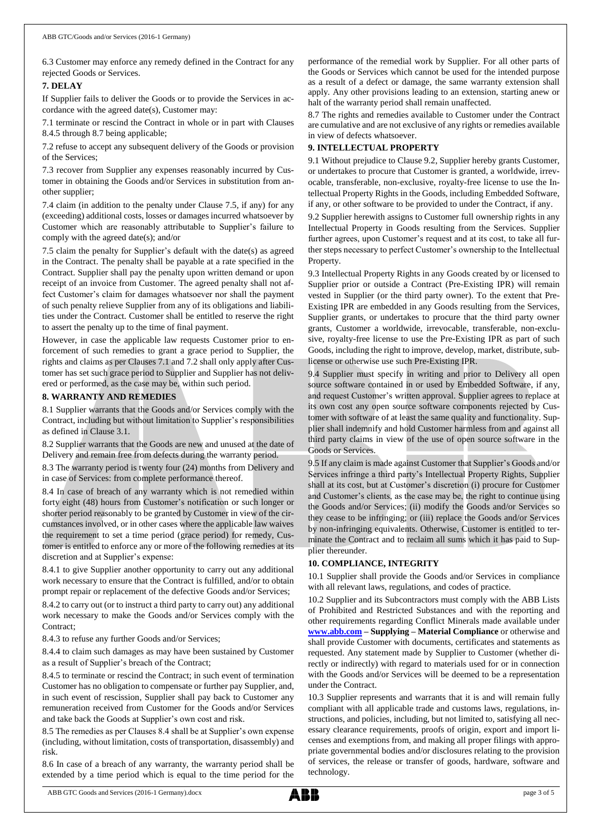6.3 Customer may enforce any remedy defined in the Contract for any rejected Goods or Services.

## **7. DELAY**

If Supplier fails to deliver the Goods or to provide the Services in accordance with the agreed date(s), Customer may:

7.1 terminate or rescind the Contract in whole or in part with Clauses 8.4.5 through 8.7 being applicable;

7.2 refuse to accept any subsequent delivery of the Goods or provision of the Services;

7.3 recover from Supplier any expenses reasonably incurred by Customer in obtaining the Goods and/or Services in substitution from another supplier;

7.4 claim (in addition to the penalty under Clause 7.5, if any) for any (exceeding) additional costs, losses or damages incurred whatsoever by Customer which are reasonably attributable to Supplier's failure to comply with the agreed date(s); and/or

7.5 claim the penalty for Supplier's default with the date(s) as agreed in the Contract. The penalty shall be payable at a rate specified in the Contract. Supplier shall pay the penalty upon written demand or upon receipt of an invoice from Customer. The agreed penalty shall not affect Customer's claim for damages whatsoever nor shall the payment of such penalty relieve Supplier from any of its obligations and liabilities under the Contract. Customer shall be entitled to reserve the right to assert the penalty up to the time of final payment.

However, in case the applicable law requests Customer prior to enforcement of such remedies to grant a grace period to Supplier, the rights and claims as per Clauses 7.1 and 7.2 shall only apply after Customer has set such grace period to Supplier and Supplier has not delivered or performed, as the case may be, within such period.

## **8. WARRANTY AND REMEDIES**

8.1 Supplier warrants that the Goods and/or Services comply with the Contract, including but without limitation to Supplier's responsibilities as defined in Clause 3.1.

8.2 Supplier warrants that the Goods are new and unused at the date of Delivery and remain free from defects during the warranty period.

8.3 The warranty period is twenty four (24) months from Delivery and in case of Services: from complete performance thereof.

8.4 In case of breach of any warranty which is not remedied within forty eight (48) hours from Customer's notification or such longer or shorter period reasonably to be granted by Customer in view of the circumstances involved, or in other cases where the applicable law waives the requirement to set a time period (grace period) for remedy, Customer is entitled to enforce any or more of the following remedies at its discretion and at Supplier's expense:

8.4.1 to give Supplier another opportunity to carry out any additional work necessary to ensure that the Contract is fulfilled, and/or to obtain prompt repair or replacement of the defective Goods and/or Services;

8.4.2 to carry out (or to instruct a third party to carry out) any additional work necessary to make the Goods and/or Services comply with the Contract;

8.4.3 to refuse any further Goods and/or Services;

8.4.4 to claim such damages as may have been sustained by Customer as a result of Supplier's breach of the Contract;

8.4.5 to terminate or rescind the Contract; in such event of termination Customer has no obligation to compensate or further pay Supplier, and, in such event of rescission, Supplier shall pay back to Customer any remuneration received from Customer for the Goods and/or Services and take back the Goods at Supplier's own cost and risk.

8.5 The remedies as per Clauses 8.4 shall be at Supplier's own expense (including, without limitation, costs of transportation, disassembly) and risk.

8.6 In case of a breach of any warranty, the warranty period shall be extended by a time period which is equal to the time period for the

performance of the remedial work by Supplier. For all other parts of the Goods or Services which cannot be used for the intended purpose as a result of a defect or damage, the same warranty extension shall apply. Any other provisions leading to an extension, starting anew or halt of the warranty period shall remain unaffected.

8.7 The rights and remedies available to Customer under the Contract are cumulative and are not exclusive of any rights or remedies available in view of defects whatsoever.

## **9. INTELLECTUAL PROPERTY**

9.1 Without prejudice to Clause 9.2, Supplier hereby grants Customer, or undertakes to procure that Customer is granted, a worldwide, irrevocable, transferable, non-exclusive, royalty-free license to use the Intellectual Property Rights in the Goods, including Embedded Software, if any, or other software to be provided to under the Contract, if any.

9.2 Supplier herewith assigns to Customer full ownership rights in any Intellectual Property in Goods resulting from the Services. Supplier further agrees, upon Customer's request and at its cost, to take all further steps necessary to perfect Customer's ownership to the Intellectual Property.

9.3 Intellectual Property Rights in any Goods created by or licensed to Supplier prior or outside a Contract (Pre-Existing IPR) will remain vested in Supplier (or the third party owner). To the extent that Pre-Existing IPR are embedded in any Goods resulting from the Services, Supplier grants, or undertakes to procure that the third party owner grants, Customer a worldwide, irrevocable, transferable, non-exclusive, royalty-free license to use the Pre-Existing IPR as part of such Goods, including the right to improve, develop, market, distribute, sublicense or otherwise use such Pre-Existing IPR.

9.4 Supplier must specify in writing and prior to Delivery all open source software contained in or used by Embedded Software, if any, and request Customer's written approval. Supplier agrees to replace at its own cost any open source software components rejected by Customer with software of at least the same quality and functionality. Supplier shall indemnify and hold Customer harmless from and against all third party claims in view of the use of open source software in the Goods or Services.

9.5 If any claim is made against Customer that Supplier's Goods and/or Services infringe a third party's Intellectual Property Rights, Supplier shall at its cost, but at Customer's discretion (i) procure for Customer and Customer's clients, as the case may be, the right to continue using the Goods and/or Services; (ii) modify the Goods and/or Services so they cease to be infringing; or (iii) replace the Goods and/or Services by non-infringing equivalents. Otherwise, Customer is entitled to terminate the Contract and to reclaim all sums which it has paid to Supplier thereunder.

# **10. COMPLIANCE, INTEGRITY**

10.1 Supplier shall provide the Goods and/or Services in compliance with all relevant laws, regulations, and codes of practice.

10.2 Supplier and its Subcontractors must comply with the ABB Lists of Prohibited and Restricted Substances and with the reporting and other requirements regarding Conflict Minerals made available under **[www.abb.com](http://www.abb.com/) – Supplying – Material Compliance** or otherwise and shall provide Customer with documents, certificates and statements as requested. Any statement made by Supplier to Customer (whether directly or indirectly) with regard to materials used for or in connection with the Goods and/or Services will be deemed to be a representation under the Contract.

10.3 Supplier represents and warrants that it is and will remain fully compliant with all applicable trade and customs laws, regulations, instructions, and policies, including, but not limited to, satisfying all necessary clearance requirements, proofs of origin, export and import licenses and exemptions from, and making all proper filings with appropriate governmental bodies and/or disclosures relating to the provision of services, the release or transfer of goods, hardware, software and technology.

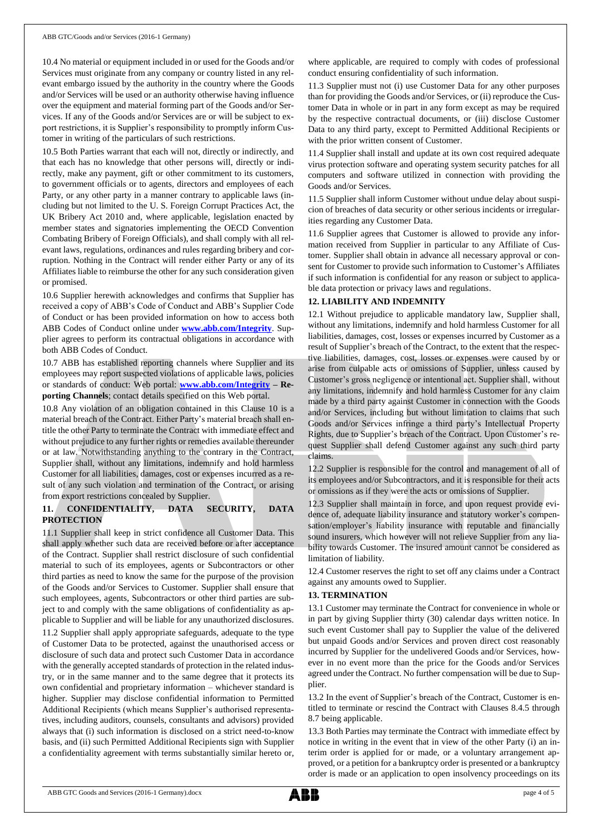10.4 No material or equipment included in or used for the Goods and/or Services must originate from any company or country listed in any relevant embargo issued by the authority in the country where the Goods and/or Services will be used or an authority otherwise having influence over the equipment and material forming part of the Goods and/or Services. If any of the Goods and/or Services are or will be subject to export restrictions, it is Supplier's responsibility to promptly inform Customer in writing of the particulars of such restrictions.

10.5 Both Parties warrant that each will not, directly or indirectly, and that each has no knowledge that other persons will, directly or indirectly, make any payment, gift or other commitment to its customers, to government officials or to agents, directors and employees of each Party, or any other party in a manner contrary to applicable laws (including but not limited to the U. S. Foreign Corrupt Practices Act, the UK Bribery Act 2010 and, where applicable, legislation enacted by member states and signatories implementing the OECD Convention Combating Bribery of Foreign Officials), and shall comply with all relevant laws, regulations, ordinances and rules regarding bribery and corruption. Nothing in the Contract will render either Party or any of its Affiliates liable to reimburse the other for any such consideration given or promised.

10.6 Supplier herewith acknowledges and confirms that Supplier has received a copy of ABB's Code of Conduct and ABB's Supplier Code of Conduct or has been provided information on how to access both ABB Codes of Conduct online under **[www.abb.com/Integrity](http://www.abb.com/Integrity)**. Supplier agrees to perform its contractual obligations in accordance with both ABB Codes of Conduct.

10.7 ABB has established reporting channels where Supplier and its employees may report suspected violations of applicable laws, policies or standards of conduct: Web portal: **[www.abb.com/Integrity](http://www.abb.com/Integrity) – Reporting Channels**; contact details specified on this Web portal.

10.8 Any violation of an obligation contained in this Clause 10 is a material breach of the Contract. Either Party's material breach shall entitle the other Party to terminate the Contract with immediate effect and without prejudice to any further rights or remedies available thereunder or at law. Notwithstanding anything to the contrary in the Contract, Supplier shall, without any limitations, indemnify and hold harmless Customer for all liabilities, damages, cost or expenses incurred as a result of any such violation and termination of the Contract, or arising from export restrictions concealed by Supplier.

# **11. CONFIDENTIALITY, DATA SECURITY, DATA PROTECTION**

11.1 Supplier shall keep in strict confidence all Customer Data. This shall apply whether such data are received before or after acceptance of the Contract. Supplier shall restrict disclosure of such confidential material to such of its employees, agents or Subcontractors or other third parties as need to know the same for the purpose of the provision of the Goods and/or Services to Customer. Supplier shall ensure that such employees, agents, Subcontractors or other third parties are subject to and comply with the same obligations of confidentiality as applicable to Supplier and will be liable for any unauthorized disclosures. 11.2 Supplier shall apply appropriate safeguards, adequate to the type of Customer Data to be protected, against the unauthorised access or disclosure of such data and protect such Customer Data in accordance with the generally accepted standards of protection in the related industry, or in the same manner and to the same degree that it protects its own confidential and proprietary information – whichever standard is higher. Supplier may disclose confidential information to Permitted Additional Recipients (which means Supplier's authorised representatives, including auditors, counsels, consultants and advisors) provided always that (i) such information is disclosed on a strict need-to-know basis, and (ii) such Permitted Additional Recipients sign with Supplier a confidentiality agreement with terms substantially similar hereto or,

where applicable, are required to comply with codes of professional conduct ensuring confidentiality of such information.

11.3 Supplier must not (i) use Customer Data for any other purposes than for providing the Goods and/or Services, or (ii) reproduce the Customer Data in whole or in part in any form except as may be required by the respective contractual documents, or (iii) disclose Customer Data to any third party, except to Permitted Additional Recipients or with the prior written consent of Customer.

11.4 Supplier shall install and update at its own cost required adequate virus protection software and operating system security patches for all computers and software utilized in connection with providing the Goods and/or Services.

11.5 Supplier shall inform Customer without undue delay about suspicion of breaches of data security or other serious incidents or irregularities regarding any Customer Data.

11.6 Supplier agrees that Customer is allowed to provide any information received from Supplier in particular to any Affiliate of Customer. Supplier shall obtain in advance all necessary approval or consent for Customer to provide such information to Customer's Affiliates if such information is confidential for any reason or subject to applicable data protection or privacy laws and regulations.

# **12. LIABILITY AND INDEMNITY**

12.1 Without prejudice to applicable mandatory law, Supplier shall, without any limitations, indemnify and hold harmless Customer for all liabilities, damages, cost, losses or expenses incurred by Customer as a result of Supplier's breach of the Contract, to the extent that the respective liabilities, damages, cost, losses or expenses were caused by or arise from culpable acts or omissions of Supplier, unless caused by Customer's gross negligence or intentional act. Supplier shall, without any limitations, indemnify and hold harmless Customer for any claim made by a third party against Customer in connection with the Goods and/or Services, including but without limitation to claims that such Goods and/or Services infringe a third party's Intellectual Property Rights, due to Supplier's breach of the Contract. Upon Customer's request Supplier shall defend Customer against any such third party claims.

12.2 Supplier is responsible for the control and management of all of its employees and/or Subcontractors, and it is responsible for their acts or omissions as if they were the acts or omissions of Supplier.

12.3 Supplier shall maintain in force, and upon request provide evidence of, adequate liability insurance and statutory worker's compensation/employer's liability insurance with reputable and financially sound insurers, which however will not relieve Supplier from any liability towards Customer. The insured amount cannot be considered as limitation of liability.

12.4 Customer reserves the right to set off any claims under a Contract against any amounts owed to Supplier.

## **13. TERMINATION**

13.1 Customer may terminate the Contract for convenience in whole or in part by giving Supplier thirty (30) calendar days written notice. In such event Customer shall pay to Supplier the value of the delivered but unpaid Goods and/or Services and proven direct cost reasonably incurred by Supplier for the undelivered Goods and/or Services, however in no event more than the price for the Goods and/or Services agreed under the Contract. No further compensation will be due to Supplier.

13.2 In the event of Supplier's breach of the Contract, Customer is entitled to terminate or rescind the Contract with Clauses 8.4.5 through 8.7 being applicable.

13.3 Both Parties may terminate the Contract with immediate effect by notice in writing in the event that in view of the other Party (i) an interim order is applied for or made, or a voluntary arrangement approved, or a petition for a bankruptcy order is presented or a bankruptcy order is made or an application to open insolvency proceedings on its